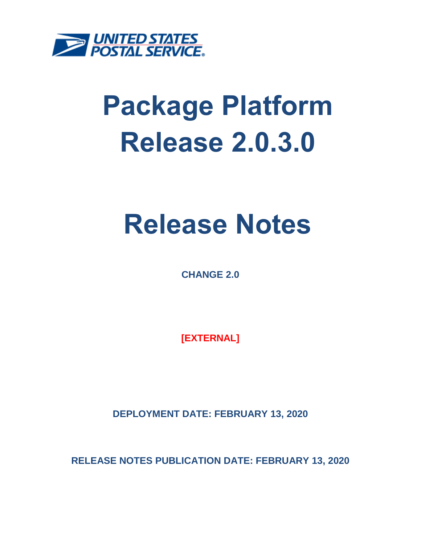

# **Package Platform Release 2.0.3.0**

## **Release Notes**

**CHANGE 2.0**

**[EXTERNAL]**

**DEPLOYMENT DATE: FEBRUARY 13, 2020**

**RELEASE NOTES PUBLICATION DATE: FEBRUARY 13, 2020**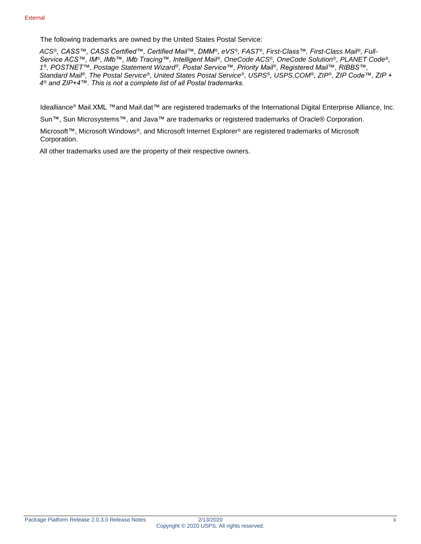The following trademarks are owned by the United States Postal Service:

*ACS®, CASS™, CASS Certified™, Certified Mail™, DMM®, eVS®, FAST®, First-Class™, First-Class Mail®, Full-Service ACS™, IM®, IMb™, IMb Tracing™, Intelligent Mail®, OneCode ACS®, OneCode Solution®, PLANET Code®, 1 ®, POSTNET™, Postage Statement Wizard®, Postal Service™, Priority Mail®, Registered Mail™, RIBBS™, Standard Mail®, The Postal Service®, United States Postal Service®, USPS®, USPS.COM®, ZIP®, ZIP Code™, ZIP + 4 ® and ZIP+4™. This is not a complete list of all Postal trademarks.*

Idealliance® Mail.XML ™and Mail.dat™ are registered trademarks of the International Digital Enterprise Alliance, Inc.

Sun™, Sun Microsystems™, and Java™ are trademarks or registered trademarks of Oracle® Corporation.

Microsoft™, Microsoft Windows®, and Microsoft Internet Explorer® are registered trademarks of Microsoft Corporation.

All other trademarks used are the property of their respective owners.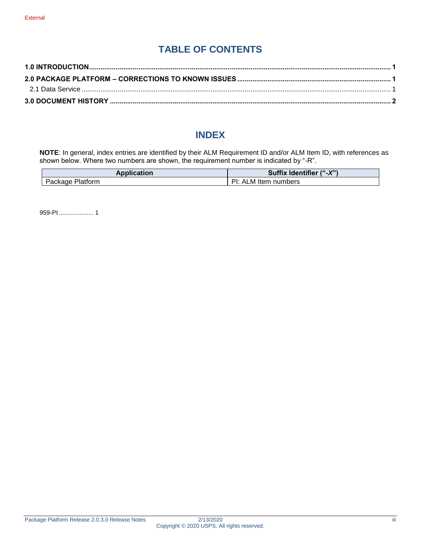## **TABLE OF CONTENTS**

#### **INDEX**

**NOTE**: In general, index entries are identified by their ALM Requirement ID and/or ALM Item ID, with references as shown below. Where two numbers are shown, the requirement number is indicated by "-R".

| Application                | <b>Identifier</b><br><b>Suffix</b><br>(''.X") |
|----------------------------|-----------------------------------------------|
| <b>Platform</b><br>Package | D١٠<br>ALM<br>Item<br>numbers                 |

959-PI .................... 1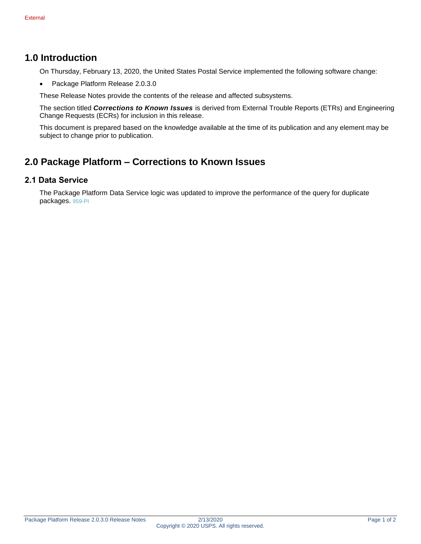#### <span id="page-3-0"></span>**1.0 Introduction**

On Thursday, February 13, 2020, the United States Postal Service implemented the following software change:

• Package Platform Release 2.0.3.0

These Release Notes provide the contents of the release and affected subsystems.

The section titled *Corrections to Known Issues* is derived from External Trouble Reports (ETRs) and Engineering Change Requests (ECRs) for inclusion in this release.

This document is prepared based on the knowledge available at the time of its publication and any element may be subject to change prior to publication.

### <span id="page-3-1"></span>**2.0 Package Platform – Corrections to Known Issues**

#### <span id="page-3-2"></span>**2.1 Data Service**

The Package Platform Data Service logic was updated to improve the performance of the query for duplicate packages. 959-PI